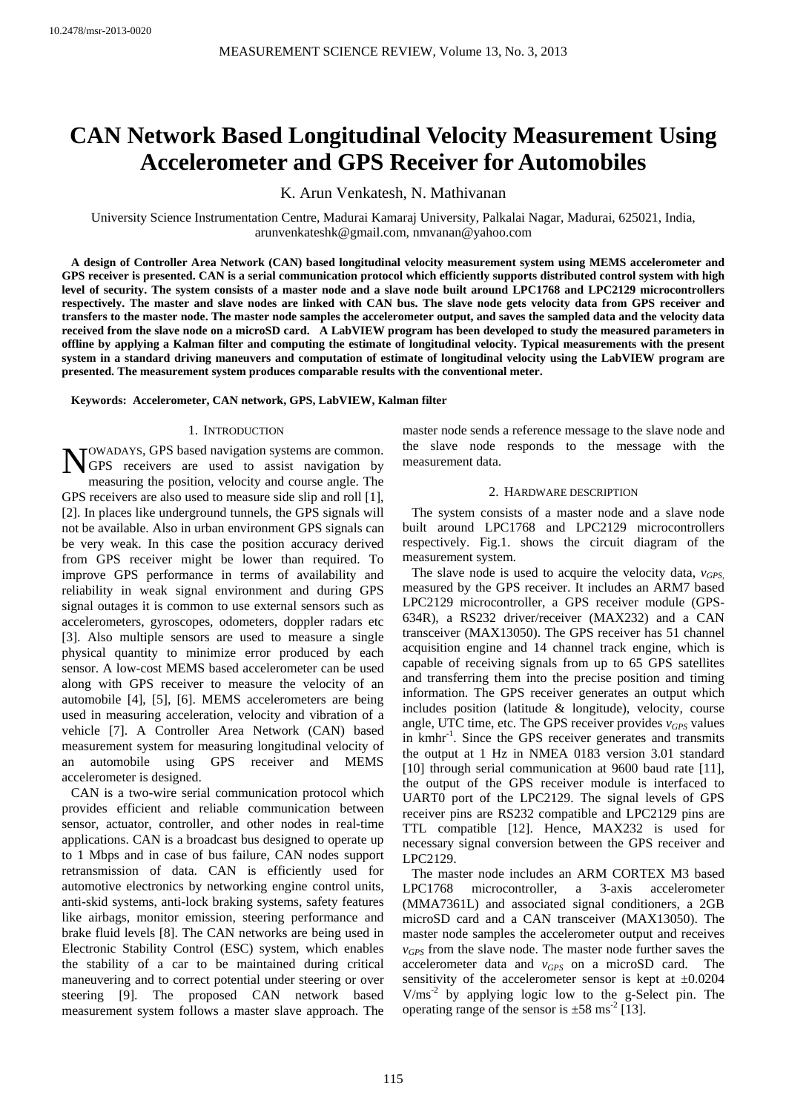# **CAN Network Based Longitudinal Velocity Measurement Using Accelerometer and GPS Receiver for Automobiles**

K. Arun Venkatesh, N. Mathivanan

University Science Instrumentation Centre, Madurai Kamaraj University, Palkalai Nagar, Madurai, 625021, India, arunvenkateshk@gmail.com, nmvanan@yahoo.com

**A design of Controller Area Network (CAN) based longitudinal velocity measurement system using MEMS accelerometer and GPS receiver is presented. CAN is a serial communication protocol which efficiently supports distributed control system with high level of security. The system consists of a master node and a slave node built around LPC1768 and LPC2129 microcontrollers respectively. The master and slave nodes are linked with CAN bus. The slave node gets velocity data from GPS receiver and transfers to the master node. The master node samples the accelerometer output, and saves the sampled data and the velocity data received from the slave node on a microSD card. A LabVIEW program has been developed to study the measured parameters in offline by applying a Kalman filter and computing the estimate of longitudinal velocity. Typical measurements with the present system in a standard driving maneuvers and computation of estimate of longitudinal velocity using the LabVIEW program are presented. The measurement system produces comparable results with the conventional meter.** 

**Keywords: Accelerometer, CAN network, GPS, LabVIEW, Kalman filter** 

#### 1. INTRODUCTION

OWADAYS, GPS based navigation systems are common. NOWADAYS, GPS based navigation systems are common.<br>
GPS receivers are used to assist navigation by measuring the position, velocity and course angle. The GPS receivers are also used to measure side slip and roll [1], [2]. In places like underground tunnels, the GPS signals will not be available. Also in urban environment GPS signals can be very weak. In this case the position accuracy derived from GPS receiver might be lower than required. To improve GPS performance in terms of availability and reliability in weak signal environment and during GPS signal outages it is common to use external sensors such as accelerometers, gyroscopes, odometers, doppler radars etc [3]. Also multiple sensors are used to measure a single physical quantity to minimize error produced by each sensor. A low-cost MEMS based accelerometer can be used along with GPS receiver to measure the velocity of an automobile [4], [5], [6]. MEMS accelerometers are being used in measuring acceleration, velocity and vibration of a vehicle [7]. A Controller Area Network (CAN) based measurement system for measuring longitudinal velocity of an automobile using GPS receiver and MEMS accelerometer is designed.

CAN is a two-wire serial communication protocol which provides efficient and reliable communication between sensor, actuator, controller, and other nodes in real-time applications. CAN is a broadcast bus designed to operate up to 1 Mbps and in case of bus failure, CAN nodes support retransmission of data. CAN is efficiently used for automotive electronics by networking engine control units, anti-skid systems, anti-lock braking systems, safety features like airbags, monitor emission, steering performance and brake fluid levels [8]. The CAN networks are being used in Electronic Stability Control (ESC) system, which enables the stability of a car to be maintained during critical maneuvering and to correct potential under steering or over steering [9]. The proposed CAN network based measurement system follows a master slave approach. The master node sends a reference message to the slave node and the slave node responds to the message with the measurement data.

#### 2. HARDWARE DESCRIPTION

The system consists of a master node and a slave node built around LPC1768 and LPC2129 microcontrollers respectively. Fig.1. shows the circuit diagram of the measurement system.

The slave node is used to acquire the velocity data,  $v_{GPS}$ measured by the GPS receiver. It includes an ARM7 based LPC2129 microcontroller, a GPS receiver module (GPS-634R), a RS232 driver/receiver (MAX232) and a CAN transceiver (MAX13050). The GPS receiver has 51 channel acquisition engine and 14 channel track engine, which is capable of receiving signals from up to 65 GPS satellites and transferring them into the precise position and timing information. The GPS receiver generates an output which includes position (latitude & longitude), velocity, course angle, UTC time, etc. The GPS receiver provides  $v_{GPS}$  values in kmhr<sup>-1</sup>. Since the GPS receiver generates and transmits the output at 1 Hz in NMEA 0183 version 3.01 standard [10] through serial communication at 9600 baud rate [11], the output of the GPS receiver module is interfaced to UART0 port of the LPC2129. The signal levels of GPS receiver pins are RS232 compatible and LPC2129 pins are TTL compatible [12]. Hence, MAX232 is used for necessary signal conversion between the GPS receiver and LPC2129.

The master node includes an ARM CORTEX M3 based LPC1768 microcontroller, a 3-axis accelerometer (MMA7361L) and associated signal conditioners, a 2GB microSD card and a CAN transceiver (MAX13050). The master node samples the accelerometer output and receives *vGPS* from the slave node. The master node further saves the accelerometer data and *vGPS* on a microSD card. The sensitivity of the accelerometer sensor is kept at  $\pm 0.0204$  $V/ms<sup>-2</sup>$  by applying logic low to the g-Select pin. The operating range of the sensor is  $\pm 58 \text{ ms}^{-2}$  [13].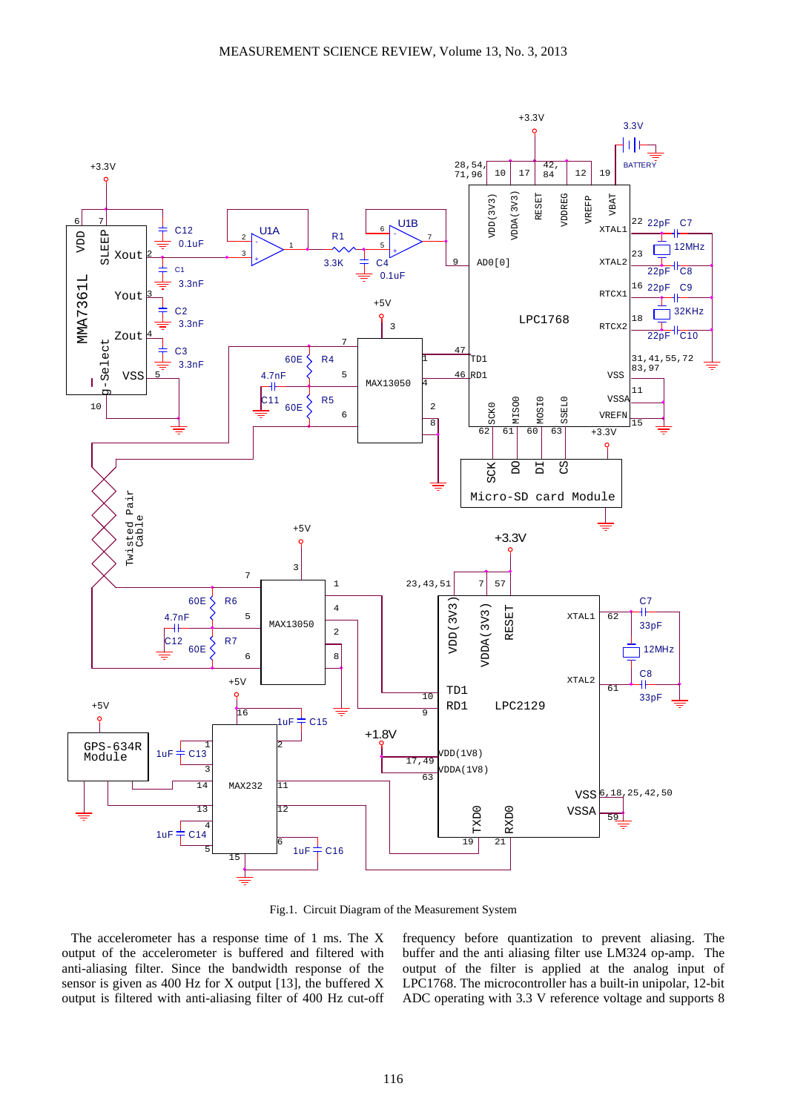

Fig.1. Circuit Diagram of the Measurement System

The accelerometer has a response time of 1 ms. The X output of the accelerometer is buffered and filtered with anti-aliasing filter. Since the bandwidth response of the sensor is given as 400 Hz for X output [13], the buffered X output is filtered with anti-aliasing filter of 400 Hz cut-off frequency before quantization to prevent aliasing. The buffer and the anti aliasing filter use LM324 op-amp. The output of the filter is applied at the analog input of LPC1768. The microcontroller has a built-in unipolar, 12-bit ADC operating with 3.3 V reference voltage and supports 8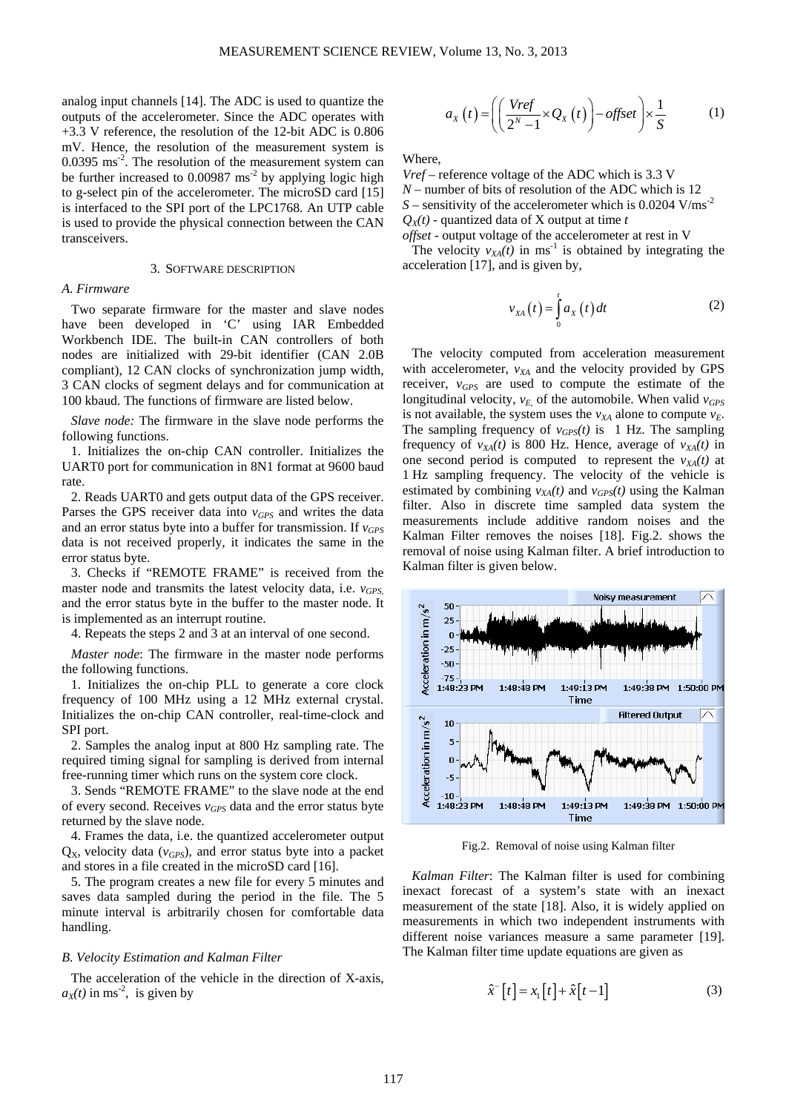analog input channels [14]. The ADC is used to quantize the outputs of the accelerometer. Since the ADC operates with +3.3 V reference, the resolution of the 12-bit ADC is 0.806 mV. Hence, the resolution of the measurement system is 0.0395 ms<sup>-2</sup>. The resolution of the measurement system can be further increased to  $0.00987 \text{ ms}^{-2}$  by applying logic high to g-select pin of the accelerometer. The microSD card [15] is interfaced to the SPI port of the LPC1768. An UTP cable is used to provide the physical connection between the CAN transceivers.

#### 3. SOFTWARE DESCRIPTION

# *A. Firmware*

Two separate firmware for the master and slave nodes have been developed in 'C' using IAR Embedded Workbench IDE. The built-in CAN controllers of both nodes are initialized with 29-bit identifier (CAN 2.0B compliant), 12 CAN clocks of synchronization jump width, 3 CAN clocks of segment delays and for communication at 100 kbaud. The functions of firmware are listed below.

*Slave node:* The firmware in the slave node performs the following functions.

1. Initializes the on-chip CAN controller. Initializes the UART0 port for communication in 8N1 format at 9600 baud rate.

2. Reads UART0 and gets output data of the GPS receiver. Parses the GPS receiver data into  $v_{GPS}$  and writes the data and an error status byte into a buffer for transmission. If  $v_{GPS}$ data is not received properly, it indicates the same in the error status byte.

3. Checks if "REMOTE FRAME" is received from the master node and transmits the latest velocity data, i.e. *v<sub>GPS</sub>* and the error status byte in the buffer to the master node. It is implemented as an interrupt routine.

4. Repeats the steps 2 and 3 at an interval of one second.

*Master node*: The firmware in the master node performs the following functions.

1. Initializes the on-chip PLL to generate a core clock frequency of 100 MHz using a 12 MHz external crystal. Initializes the on-chip CAN controller, real-time-clock and SPI port.

2. Samples the analog input at 800 Hz sampling rate. The required timing signal for sampling is derived from internal free-running timer which runs on the system core clock.

3. Sends "REMOTE FRAME" to the slave node at the end of every second. Receives *vGPS* data and the error status byte returned by the slave node.

4. Frames the data, i.e. the quantized accelerometer output  $Q_{X}$ , velocity data ( $v_{GPS}$ ), and error status byte into a packet and stores in a file created in the microSD card [16].

5. The program creates a new file for every 5 minutes and saves data sampled during the period in the file. The 5 minute interval is arbitrarily chosen for comfortable data handling.

#### *B. Velocity Estimation and Kalman Filter*

The acceleration of the vehicle in the direction of X-axis,  $a_X(t)$  in ms<sup>-2</sup>, is given by

$$
a_{X}(t) = \left( \left( \frac{Vref}{2^{N}-1} \times Q_{X}(t) \right) - offset \right) \times \frac{1}{S} \tag{1}
$$

Where,

*Vref* – reference voltage of the ADC which is 3.3 V *N* – number of bits of resolution of the ADC which is 12  $S$  – sensitivity of the accelerometer which is 0.0204 V/ms<sup>-2</sup>  $Q_X(t)$  - quantized data of X output at time *t offset* - output voltage of the accelerometer at rest in V

The velocity  $v_{XA}(t)$  in ms<sup>-1</sup> is obtained by integrating the acceleration [17], and is given by,

$$
v_{XA}(t) = \int_{0}^{t} a_{X}(t) dt
$$
 (2)

The velocity computed from acceleration measurement with accelerometer,  $v_{XA}$  and the velocity provided by GPS receiver, *vGPS* are used to compute the estimate of the longitudinal velocity,  $v_F$  of the automobile. When valid  $v_{GPS}$ is not available, the system uses the  $v_{XA}$  alone to compute  $v_E$ . The sampling frequency of  $v_{GPS}(t)$  is 1 Hz. The sampling frequency of  $v_{XA}(t)$  is 800 Hz. Hence, average of  $v_{XA}(t)$  in one second period is computed to represent the  $v_{XA}(t)$  at 1 Hz sampling frequency. The velocity of the vehicle is estimated by combining  $v_{XA}(t)$  and  $v_{GPS}(t)$  using the Kalman filter. Also in discrete time sampled data system the measurements include additive random noises and the Kalman Filter removes the noises [18]. Fig.2. shows the removal of noise using Kalman filter. A brief introduction to Kalman filter is given below.



Fig.2. Removal of noise using Kalman filter

*Kalman Filter*: The Kalman filter is used for combining inexact forecast of a system's state with an inexact measurement of the state [18]. Also, it is widely applied on measurements in which two independent instruments with different noise variances measure a same parameter [19]. The Kalman filter time update equations are given as

$$
\hat{x}^{-}[t] = x_{1}[t] + \hat{x}[t-1] \tag{3}
$$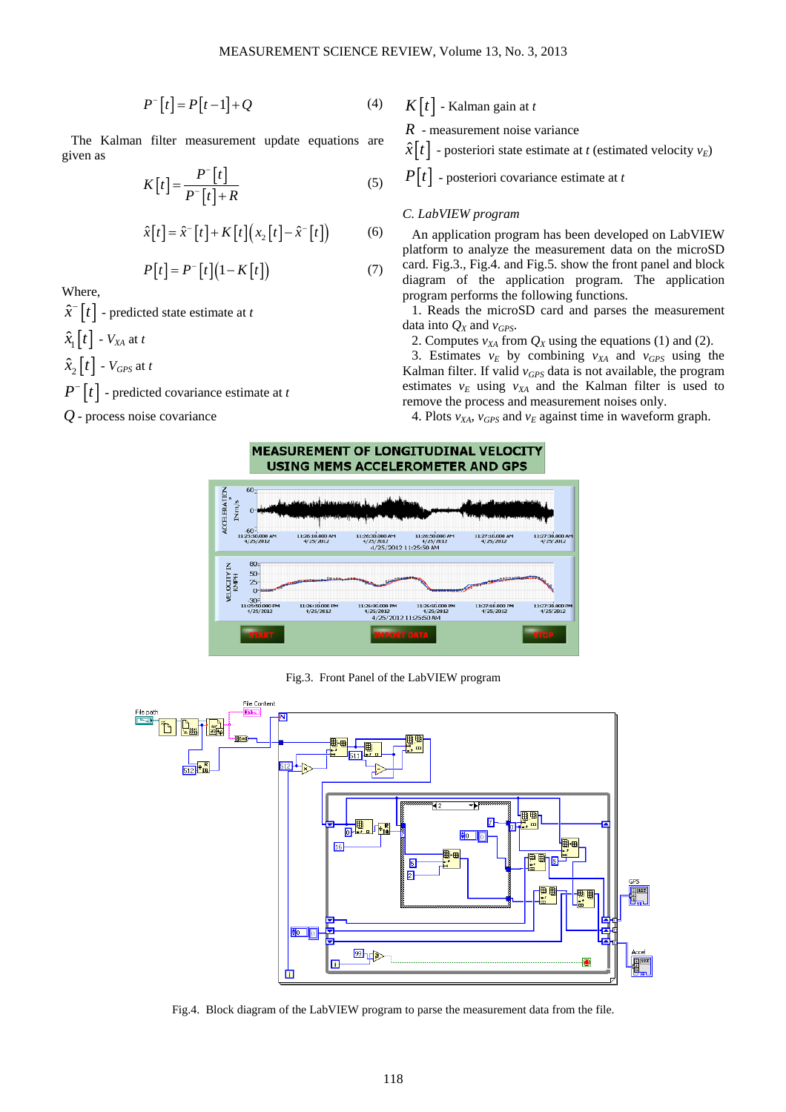$$
P^{-}[t] = P[t-1] + Q \tag{4}
$$

The Kalman filter measurement update equations are given as

$$
K[t] = \frac{P^{-}[t]}{P^{-}[t] + R}
$$
\n<sup>(5)</sup>

$$
\hat{x}[t] = \hat{x}^{-}[t] + K[t](x_{2}[t] - \hat{x}^{-}[t])
$$
\n(6)

$$
P[t] = P^{-}[t](1 - K[t]) \tag{7}
$$

Where,

 $\hat{x}$ <sup> $\cdot$ </sup>  $\left[t\right]$  - predicted state estimate at *t* 

 $\hat{x}_{1}$ [*t*] -  $V_{XA}$  at *t* 

$$
\hat{x}_2[t] - V_{GPS} \text{ at } t
$$

 $P^{-}[t]$  – predicted covariance estimate at *t* 

*Q* - process noise covariance

 $K[t]$  - Kalman gain at *t* 

*R* - measurement noise variance

 $\hat{x}[t]$  - posteriori state estimate at *t* (estimated velocity  $v_E$ )

 $P[t]$  - posteriori covariance estimate at *t* 

### *C. LabVIEW program*

An application program has been developed on LabVIEW platform to analyze the measurement data on the microSD card. Fig.3., Fig.4. and Fig.5. show the front panel and block diagram of the application program. The application program performs the following functions.

1. Reads the microSD card and parses the measurement data into  $Q_X$  and  $v_{GPS}$ .

2. Computes  $v_{XA}$  from  $Q_X$  using the equations (1) and (2).

3. Estimates  $v_E$  by combining  $v_{XA}$  and  $v_{GPS}$  using the Kalman filter. If valid *vGPS* data is not available, the program estimates  $v_E$  using  $v_{XA}$  and the Kalman filter is used to remove the process and measurement noises only.

4. Plots  $v_{XA}$ ,  $v_{GPS}$  and  $v_E$  against time in waveform graph.



Fig.3. Front Panel of the LabVIEW program



Fig.4. Block diagram of the LabVIEW program to parse the measurement data from the file.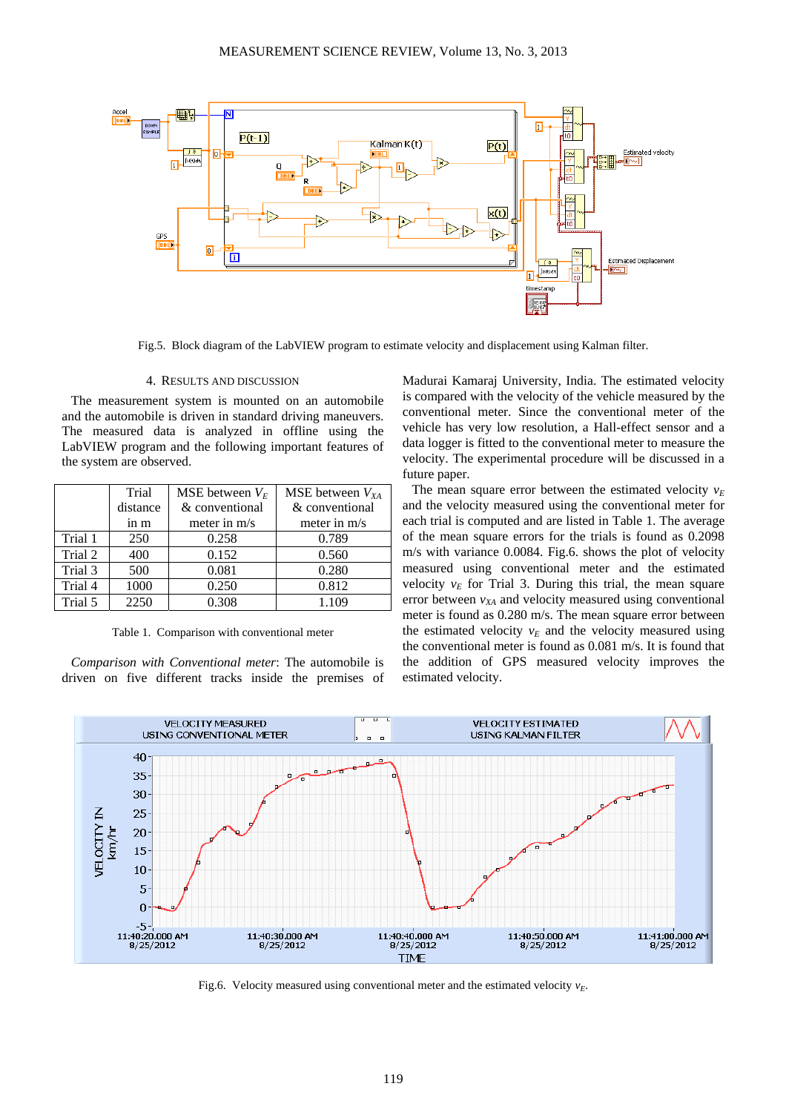

Fig.5. Block diagram of the LabVIEW program to estimate velocity and displacement using Kalman filter.

#### 4. RESULTS AND DISCUSSION

The measurement system is mounted on an automobile and the automobile is driven in standard driving maneuvers. The measured data is analyzed in offline using the LabVIEW program and the following important features of the system are observed.

|         | Trial    | MSE between $V_E$ | MSE between $V_{XA}$ |
|---------|----------|-------------------|----------------------|
|         | distance | & conventional    | & conventional       |
|         | in m     | meter in $m/s$    | meter in m/s         |
| Trial 1 | 250      | 0.258             | 0.789                |
| Trial 2 | 400      | 0.152             | 0.560                |
| Trial 3 | 500      | 0.081             | 0.280                |
| Trial 4 | 1000     | 0.250             | 0.812                |
| Trial 5 | 2250     | 0.308             | 1.109                |

Table 1. Comparison with conventional meter

*Comparison with Conventional meter*: The automobile is driven on five different tracks inside the premises of Madurai Kamaraj University, India. The estimated velocity is compared with the velocity of the vehicle measured by the conventional meter. Since the conventional meter of the vehicle has very low resolution, a Hall-effect sensor and a data logger is fitted to the conventional meter to measure the velocity. The experimental procedure will be discussed in a future paper.

The mean square error between the estimated velocity  $v_F$ and the velocity measured using the conventional meter for each trial is computed and are listed in Table 1. The average of the mean square errors for the trials is found as 0.2098 m/s with variance 0.0084. Fig.6. shows the plot of velocity measured using conventional meter and the estimated velocity  $v_E$  for Trial 3. During this trial, the mean square error between  $v_{XA}$  and velocity measured using conventional meter is found as 0.280 m/s. The mean square error between the estimated velocity  $v_E$  and the velocity measured using the conventional meter is found as 0.081 m/s. It is found that the addition of GPS measured velocity improves the estimated velocity.



Fig.6. Velocity measured using conventional meter and the estimated velocity  $v_F$ .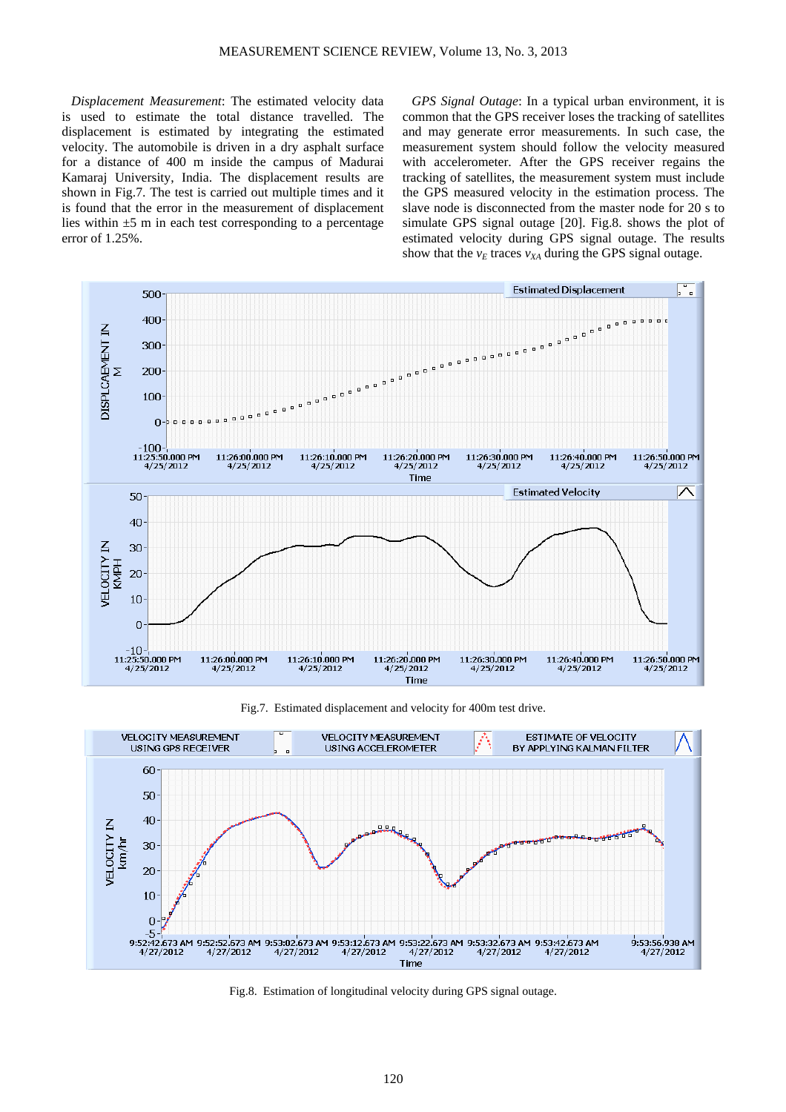*Displacement Measurement*: The estimated velocity data is used to estimate the total distance travelled. The displacement is estimated by integrating the estimated velocity. The automobile is driven in a dry asphalt surface for a distance of 400 m inside the campus of Madurai Kamaraj University, India. The displacement results are shown in Fig.7. The test is carried out multiple times and it is found that the error in the measurement of displacement lies within  $\pm 5$  m in each test corresponding to a percentage error of 1.25%.

*GPS Signal Outage*: In a typical urban environment, it is common that the GPS receiver loses the tracking of satellites and may generate error measurements. In such case, the measurement system should follow the velocity measured with accelerometer. After the GPS receiver regains the tracking of satellites, the measurement system must include the GPS measured velocity in the estimation process. The slave node is disconnected from the master node for 20 s to simulate GPS signal outage [20]. Fig.8. shows the plot of estimated velocity during GPS signal outage. The results show that the  $v_E$  traces  $v_{XA}$  during the GPS signal outage.



Fig.7. Estimated displacement and velocity for 400m test drive.



Fig.8. Estimation of longitudinal velocity during GPS signal outage.